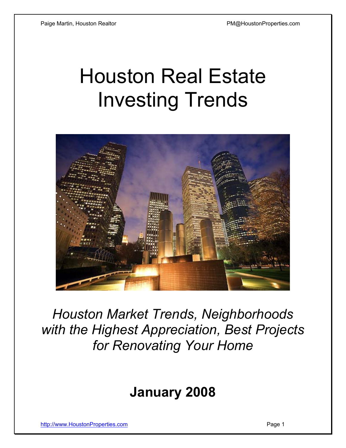# Houston Real Estate Investing Trends



*Houston Market Trends, Neighborhoods with the Highest Appreciation, Best Projects for Renovating Your Home* 

## **January 2008**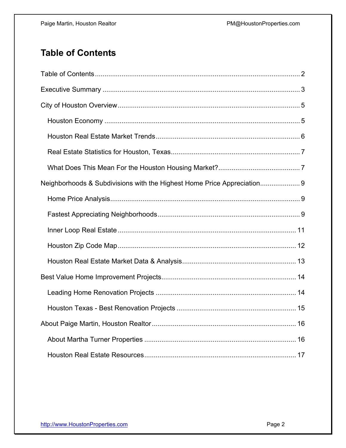## **Table of Contents**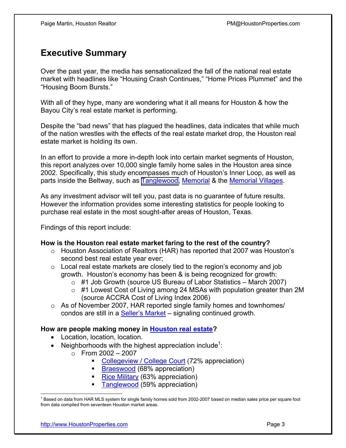## **Executive Summary**

Over the past year, the media has sensationalized the fall of the national real estate market with headlines like "Housing Crash Continues," "Home Prices Plummet" and the "Housing Boom Bursts."

With all of they hype, many are wondering what it all means for Houston & how the Bayou City's real estate market is performing.

Despite the "bad news" that has plagued the headlines, data indicates that while much of the nation wrestles with the effects of the real estate market drop, the Houston real estate market is holding its own.

In an effort to provide a more in-depth look into certain market segments of Houston, this report analyzes over 10,000 single family home sales in the Houston area since 2002. Specifically, this study encompasses much of Houston's Inner Loop, as well as parts inside the Beltway, such as [Tanglewood,](http://www.houstonproperties.com/tanglewood_neighborhood.html) [Memorial](http://houstonproperties.com/memorial.html) & the [Memorial Villages.](http://houstonproperties.com/memorialvillages.html)

As any investment advisor will tell you, past data is no guarantee of future results. However the information provides some interesting statistics for people looking to purchase real estate in the most sought-after areas of Houston, Texas.

Findings of this report include:

#### **How is the Houston real estate market faring to the rest of the country?**

- o Houston Association of Realtors (HAR) has reported that 2007 was Houston's second best real estate year ever;
- $\circ$  Local real estate markets are closely tied to the region's economy and job growth. Houston's economy has been & is being recognized for growth:
	- $\circ$  #1 Job Growth (source US Bureau of Labor Statistics March 2007)
	- o #1 Lowest Cost of Living among 24 MSAs with population greater than 2M (source ACCRA Cost of Living Index 2006)
- $\circ$  As of November 2007, HAR reported single family homes and townhomes/ condos are still in a **Seller's Market** – signaling continued growth.

#### **How are people making money in [Houston real estate?](http://www.houstonproperties.com)**

- Location, location, location.
- Neighborhoods with the highest appreciation include<sup>1</sup>:
	- $\circ$  From 2002 2007
		- [Collegeview / College Court](http://houstonproperties.com/collegeview-real-estate.html) (72% appreciation)
		- [Braeswood](http://houstonproperties.com/braeswood.html) (68% appreciation)
		- [Rice Military](http://houstonproperties.com/memorialpark.html) (63% appreciation)
		- [Tanglewood](http://www.houstonproperties.com/tanglewood_neighborhood.html) (59% appreciation)

 $\overline{a}$ <sup>1</sup> Based on data from HAR MLS system for single family homes sold from 2002-2007 based on median sales price per square foot from data compiled from seventeen Houston market areas.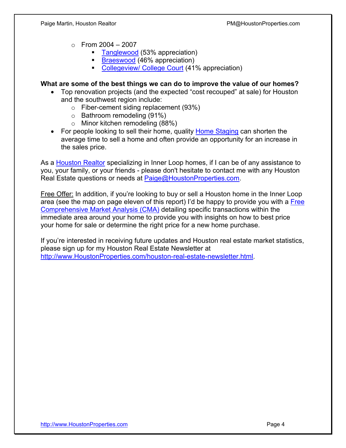- $\circ$  From 2004 2007
	- [Tanglewood](http://www.houstonproperties.com/tanglewood_neighborhood.html) (53% appreciation)
	- **[Braeswood](http://houstonproperties.com/braeswood.html) (46% appreciation)**
	- [Collegeview/ College Court](http://houstonproperties.com/collegeview-real-estate.html) (41% appreciation)

#### **What are some of the best things we can do to improve the value of our homes?**

- Top renovation projects (and the expected "cost recouped" at sale) for Houston and the southwest region include:
	- o Fiber-cement siding replacement (93%)
	- o Bathroom remodeling (91%)
	- o Minor kitchen remodeling (88%)
- For people looking to sell their home, quality [Home Staging](http://houstonproperties.com/staging.html) can shorten the average time to sell a home and often provide an opportunity for an increase in the sales price.

As a [Houston Realtor](http://houstonproperties.com/about_us.html) specializing in Inner Loop homes, if I can be of any assistance to you, your family, or your friends - please don't hesitate to contact me with any Houston Real Estate questions or needs at Paige@HoustonProperties.com.

Free Offer: In addition, if you're looking to buy or sell a Houston home in the Inner Loop area (see the map on page eleven of this report) I'd be happy to provide you with a Free [Comprehensive Market Analysis \(CMA\)](http://www.houstonproperties.com/houston-real-estate-cma-analysis.html) detailing specific transactions within the immediate area around your home to provide you with insights on how to best price your home for sale or determine the right price for a new home purchase.

If you're interested in receiving future updates and Houston real estate market statistics, please sign up for my Houston Real Estate Newsletter at [http://www.HoustonProperties.com/houston-real-estate-newsletter.html.](http://www.HoustonProperties.com/houston-real-estate-newsletter.html)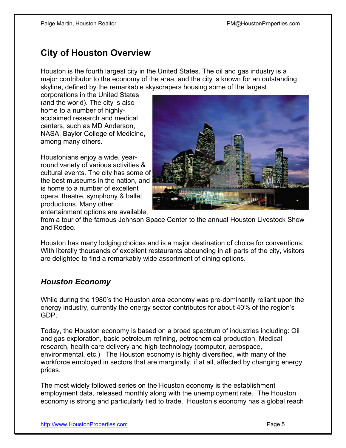## **City of Houston Overview**

Houston is the fourth largest city in the United States. The oil and gas industry is a major contributor to the economy of the area, and the city is known for an outstanding skyline, defined by the remarkable skyscrapers housing some of the largest

corporations in the United States (and the world). The city is also home to a number of highlyacclaimed research and medical centers, such as MD Anderson, NASA, Baylor College of Medicine, among many others.

Houstonians enjoy a wide, yearround variety of various activities & cultural events. The city has some of the best museums in the nation, and is home to a number of excellent opera, theatre, symphony & ballet productions. Many other entertainment options are available,



from a tour of the famous Johnson Space Center to the annual Houston Livestock Show and Rodeo.

Houston has many lodging choices and is a major destination of choice for conventions. With literally thousands of excellent restaurants abounding in all parts of the city, visitors are delighted to find a remarkably wide assortment of dining options.

#### *Houston Economy*

While during the 1980's the Houston area economy was pre-dominantly reliant upon the energy industry, currently the energy sector contributes for about 40% of the region's GDP.

Today, the Houston economy is based on a broad spectrum of industries including: Oil and gas exploration, basic petroleum refining, petrochemical production, Medical research, health care delivery and high-technology (computer, aerospace, environmental, etc.) The Houston economy is highly diversified, with many of the workforce employed in sectors that are marginally, if at all, affected by changing energy prices.

The most widely followed series on the Houston economy is the establishment employment data, released monthly along with the unemployment rate. The Houston economy is strong and particularly tied to trade. Houston's economy has a global reach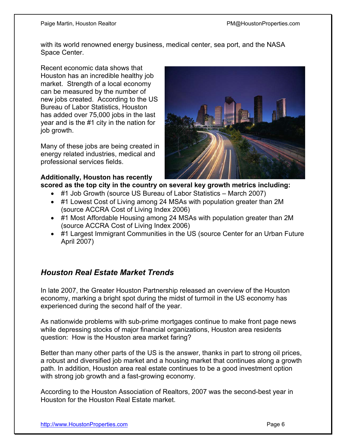with its world renowned energy business, medical center, sea port, and the NASA Space Center.

Recent economic data shows that Houston has an incredible healthy job market. Strength of a local economy can be measured by the number of new jobs created. According to the US Bureau of Labor Statistics, Houston has added over 75,000 jobs in the last year and is the #1 city in the nation for job growth.

Many of these jobs are being created in energy related industries, medical and professional services fields.

## **Additionally, Houston has recently**



**scored as the top city in the country on several key growth metrics including:** 

- #1 Job Growth (source US Bureau of Labor Statistics March 2007)
- #1 Lowest Cost of Living among 24 MSAs with population greater than 2M (source ACCRA Cost of Living Index 2006)
- #1 Most Affordable Housing among 24 MSAs with population greater than 2M (source ACCRA Cost of Living Index 2006)
- #1 Largest Immigrant Communities in the US (source Center for an Urban Future April 2007)

## *Houston Real Estate Market Trends*

In late 2007, the Greater Houston Partnership released an overview of the Houston economy, marking a bright spot during the midst of turmoil in the US economy has experienced during the second half of the year.

As nationwide problems with sub-prime mortgages continue to make front page news while depressing stocks of major financial organizations, Houston area residents question: How is the Houston area market faring?

Better than many other parts of the US is the answer, thanks in part to strong oil prices, a robust and diversified job market and a housing market that continues along a growth path. In addition, Houston area real estate continues to be a good investment option with strong job growth and a fast-growing economy.

According to the Houston Association of Realtors, 2007 was the second-best year in Houston for the Houston Real Estate market.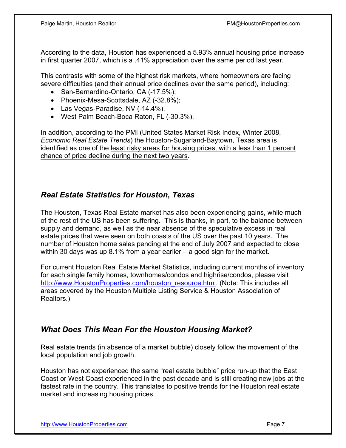According to the data, Houston has experienced a 5.93% annual housing price increase in first quarter 2007, which is a .41% appreciation over the same period last year.

This contrasts with some of the highest risk markets, where homeowners are facing severe difficulties (and their annual price declines over the same period), including:

- San-Bernardino-Ontario, CA (-17.5%);
- Phoenix-Mesa-Scottsdale, AZ (-32.8%);
- Las Vegas-Paradise, NV (-14.4%),
- West Palm Beach-Boca Raton, FL (-30.3%).

In addition, according to the PMI (United States Market Risk Index, Winter 2008, *Economic Real Estate Trends*) the Houston-Sugarland-Baytown, Texas area is identified as one of the least risky areas for housing prices, with a less than 1 percent chance of price decline during the next two years.

#### *Real Estate Statistics for Houston, Texas*

The Houston, Texas Real Estate market has also been experiencing gains, while much of the rest of the US has been suffering. This is thanks, in part, to the balance between supply and demand, as well as the near absence of the speculative excess in real estate prices that were seen on both coasts of the US over the past 10 years. The number of Houston home sales pending at the end of July 2007 and expected to close within 30 days was up 8.1% from a year earlier – a good sign for the market.

For current Houston Real Estate Market Statistics, including current months of inventory for each single family homes, townhomes/condos and highrise/condos, please visit [http://www.HoustonProperties.com/houston\\_resource.html.](http://www.HoustonProperties.com/houston_resource.html) (Note: This includes all areas covered by the Houston Multiple Listing Service & Houston Association of Realtors.)

## *What Does This Mean For the Houston Housing Market?*

Real estate trends (in absence of a market bubble) closely follow the movement of the local population and job growth.

Houston has not experienced the same "real estate bubble" price run-up that the East Coast or West Coast experienced in the past decade and is still creating new jobs at the fastest rate in the country. This translates to positive trends for the Houston real estate market and increasing housing prices.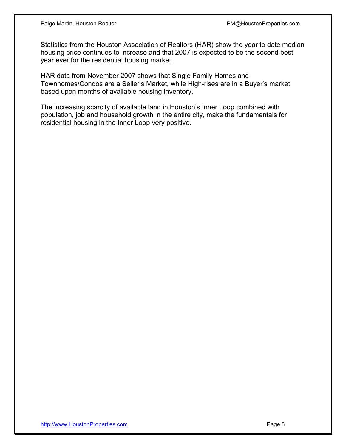Statistics from the Houston Association of Realtors (HAR) show the year to date median housing price continues to increase and that 2007 is expected to be the second best year ever for the residential housing market.

HAR data from November 2007 shows that Single Family Homes and Townhomes/Condos are a Seller's Market, while High-rises are in a Buyer's market based upon months of available housing inventory.

The increasing scarcity of available land in Houston's Inner Loop combined with population, job and household growth in the entire city, make the fundamentals for residential housing in the Inner Loop very positive.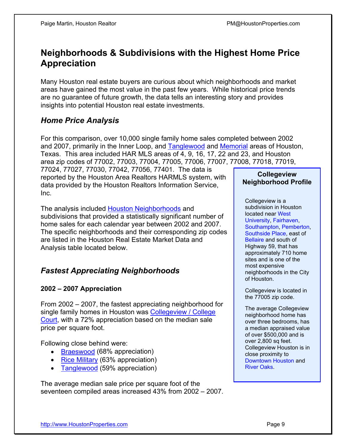## **Neighborhoods & Subdivisions with the Highest Home Price Appreciation**

Many Houston real estate buyers are curious about which neighborhoods and market areas have gained the most value in the past few years. While historical price trends are no guarantee of future growth, the data tells an interesting story and provides insights into potential Houston real estate investments.

## *Home Price Analysis*

For this comparison, over 10,000 single family home sales completed between 2002 and 2007, primarily in the Inner Loop, and [Tanglewood](http://www.houstonproperties.com/tanglewood_neighborhood.html) and [Memorial](http://houstonproperties.com/memorial.html) areas of Houston, Texas. This area included HAR MLS areas of 4, 9, 16, 17, 22 and 23, and Houston area zip codes of 77002, 77003, 77004, 77005, 77006, 77007, 77008, 77018, 77019,

77024, 77027, 77030, 77042, 77056, 77401. The data is reported by the Houston Area Realtors HARMLS system, with data provided by the Houston Realtors Information Service, Inc.

The analysis included [Houston Neighborhoods](http://houstonproperties.com/neighborhoods.html) and subdivisions that provided a statistically significant number of home sales for each calendar year between 2002 and 2007. The specific neighborhoods and their corresponding zip codes are listed in the Houston Real Estate Market Data and Analysis table located below.

#### *Fastest Appreciating Neighborhoods*

#### **2002 – 2007 Appreciation**

From 2002 – 2007, the fastest appreciating neighborhood for single family homes in Houston was [Collegeview / College](http://houstonproperties.com/collegeview-real-estate.html)  Court, with a 72% appreciation based on the median sale price per square foot.

Following close behind were:

- [Braeswood](http://houstonproperties.com/braeswood.html) (68% appreciation)
- [Rice Military](http://houstonproperties.com/memorialpark.html) (63% appreciation)
- [Tanglewood](http://www.houstonproperties.com/tanglewood_neighborhood.html) (59% appreciation)

The average median sale price per square foot of the seventeen compiled areas increased 43% from 2002 – 2007.

#### **[Collegeview](http://houstonproperties.com/collegeview-real-estate.html)  Neighborhood Profile**

Collegeview is a subdivision in Houston located near West [University,](http://houstonproperties.com/westuniversity.html) [Fairhaven,](http://houstonproperties.com/fairhaven-real-estate.html) [Southampton](http://houstonproperties.com/southampton.html), [Pemberton,](http://houstonproperties.com/pemberton-real-estate.html) [Southside Place](http://houstonproperties.com/southsideplace.html), east of [Bellaire](http://houstonproperties.com/bellaire.html) and south of Highway 59, that has approximately 710 home sites and is one of the most expensive neighborhoods in the City of Houston.

Collegeview is located in the 77005 zip code.

The average Collegeview neighborhood home has over three bedrooms, has a median appraised value of over \$500,000 and is over 2,800 sq feet. Collegeview Houston is in close proximity to [Downtown Houston](http://houstonproperties.com/downtown.html) and [River Oaks.](http://houstonproperties.com/riveroaks.html)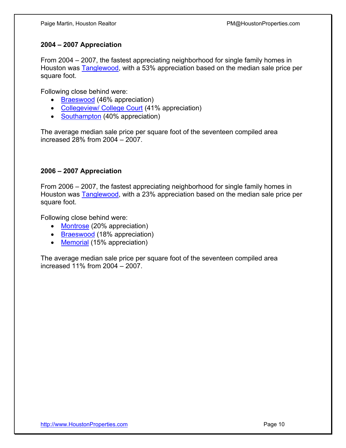#### **2004 – 2007 Appreciation**

From 2004 – 2007, the fastest appreciating neighborhood for single family homes in Houston was [Tanglewood,](http://www.houstonproperties.com/tanglewood_neighborhood.html) with a 53% appreciation based on the median sale price per square foot.

Following close behind were:

- [Braeswood](http://houstonproperties.com/braeswood.html) (46% appreciation)
- [Collegeview/ College Court](http://houstonproperties.com/collegeview-real-estate.html) (41% appreciation)
- [Southampton](http://houstonproperties.com/southampton.html) (40% appreciation)

The average median sale price per square foot of the seventeen compiled area increased 28% from 2004 – 2007.

#### **2006 – 2007 Appreciation**

From 2006 – 2007, the fastest appreciating neighborhood for single family homes in Houston was **Tanglewood**, with a 23% appreciation based on the median sale price per square foot.

Following close behind were:

- [Montrose](http://houstonproperties.com/montrose.html) (20% appreciation)
- [Braeswood](http://houstonproperties.com/braeswood.html) (18% appreciation)
- [Memorial](http://houstonproperties.com/memorial.html) (15% appreciation)

The average median sale price per square foot of the seventeen compiled area increased 11% from 2004 – 2007.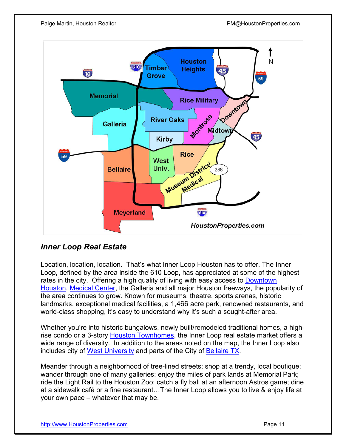

#### *Inner Loop Real Estate*

Location, location, location. That's what Inner Loop Houston has to offer. The Inner Loop, defined by the area inside the 610 Loop, has appreciated at some of the highest rates in the city. Offering a high quality of living with easy access to [Downtown](http://houstonproperties.com/downtown.html)  [Houston,](http://houstonproperties.com/downtown.html) [Medical Center,](http://houstonproperties.com/medical-center-real-estate.html) the Galleria and all major Houston freeways, the popularity of the area continues to grow. Known for museums, theatre, sports arenas, historic landmarks, exceptional medical facilities, a 1,466 acre park, renowned restaurants, and world-class shopping, it's easy to understand why it's such a sought-after area.

Whether you're into historic bungalows, newly built/remodeled traditional homes, a highrise condo or a 3-story [Houston Townhomes,](http://houstonproperties.com/townhomes.html) the Inner Loop real estate market offers a wide range of diversity. In addition to the areas noted on the map, the Inner Loop also includes city of [West University](http://houstonproperties.com/westuniversity.html) and parts of the City of [Bellaire TX.](http://houstonproperties.com/bellaire.html)

Meander through a neighborhood of tree-lined streets; shop at a trendy, local boutique; wander through one of many galleries; enjoy the miles of park lands at [Memorial Park;](http://houstonproperties.com/memorial.html) ride the Light Rail to the Houston Zoo; catch a fly ball at an afternoon Astros game; dine at a sidewalk café or a fine restaurant…The Inner Loop allows you to live & enjoy life at your own pace – whatever that may be.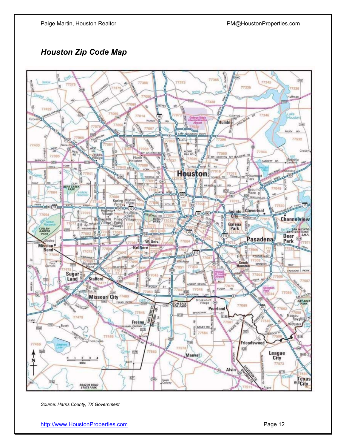### *Houston Zip Code Map*



*Source: Harris County, TX Government*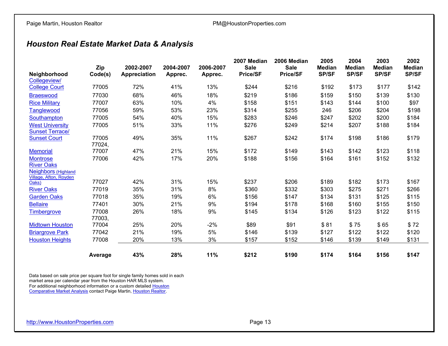## *Houston Real Estate Market Data & Analysis*

| Neighborhood                             | Zip<br>Code(s) | 2002-2007<br>Appreciation | 2004-2007<br>Apprec. | 2006-2007<br>Apprec. | 2007 Median<br><b>Sale</b><br><b>Price/SF</b> | 2006 Median<br><b>Sale</b><br><b>Price/SF</b> | 2005<br><b>Median</b><br><b>SP/SF</b> | 2004<br><b>Median</b><br><b>SP/SF</b> | 2003<br><b>Median</b><br><b>SP/SF</b> | 2002<br><b>Median</b><br><b>SP/SF</b> |
|------------------------------------------|----------------|---------------------------|----------------------|----------------------|-----------------------------------------------|-----------------------------------------------|---------------------------------------|---------------------------------------|---------------------------------------|---------------------------------------|
| Collegeview/                             |                |                           |                      |                      |                                               |                                               |                                       |                                       |                                       |                                       |
| <b>College Court</b>                     | 77005          | 72%                       | 41%                  | 13%                  | \$244                                         | \$216                                         | \$192                                 | \$173                                 | \$177                                 | \$142                                 |
| <b>Braeswood</b>                         | 77030          | 68%                       | 46%                  | 18%                  | \$219                                         | \$186                                         | \$159                                 | \$150                                 | \$139                                 | \$130                                 |
| <b>Rice Military</b>                     | 77007          | 63%                       | 10%                  | 4%                   | \$158                                         | \$151                                         | \$143                                 | \$144                                 | \$100                                 | \$97                                  |
| <b>Tanglewood</b>                        | 77056          | 59%                       | 53%                  | 23%                  | \$314                                         | \$255                                         | 246                                   | \$206                                 | \$204                                 | \$198                                 |
| Southampton                              | 77005          | 54%                       | 40%                  | 15%                  | \$283                                         | \$246                                         | \$247                                 | \$202                                 | \$200                                 | \$184                                 |
| <b>West University</b>                   | 77005          | 51%                       | 33%                  | 11%                  | \$276                                         | \$249                                         | \$214                                 | \$207                                 | \$188                                 | \$184                                 |
| <b>Sunset Terrace/</b>                   |                |                           |                      |                      |                                               |                                               |                                       |                                       |                                       |                                       |
| <b>Sunset Court</b>                      | 77005          | 49%                       | 35%                  | 11%                  | \$267                                         | \$242                                         | \$174                                 | \$198                                 | \$186                                 | \$179                                 |
|                                          | 77024,         |                           |                      |                      |                                               |                                               |                                       |                                       |                                       |                                       |
| <b>Memorial</b>                          | 77007          | 47%                       | 21%                  | 15%                  | \$172                                         | \$149                                         | \$143                                 | \$142                                 | \$123                                 | \$118                                 |
| <b>Montrose</b>                          | 77006          | 42%                       | 17%                  | 20%                  | \$188                                         | \$156                                         | \$164                                 | \$161                                 | \$152                                 | \$132                                 |
| <b>River Oaks</b><br>Neighbors (Highland |                |                           |                      |                      |                                               |                                               |                                       |                                       |                                       |                                       |
| Village, Afton, Royden                   |                |                           |                      |                      |                                               |                                               |                                       |                                       |                                       |                                       |
| Oaks)                                    | 77027          | 42%                       | 31%                  | 15%                  | \$237                                         | \$206                                         | \$189                                 | \$182                                 | \$173                                 | \$167                                 |
| <b>River Oaks</b>                        | 77019          | 35%                       | 31%                  | 8%                   | \$360                                         | \$332                                         | \$303                                 | \$275                                 | \$271                                 | \$266                                 |
| <b>Garden Oaks</b>                       | 77018          | 35%                       | 19%                  | 6%                   | \$156                                         | \$147                                         | \$134                                 | \$131                                 | \$125                                 | \$115                                 |
| <b>Bellaire</b>                          | 77401          | 30%                       | 21%                  | 9%                   | \$194                                         | \$178                                         | \$168                                 | \$160                                 | \$155                                 | \$150                                 |
| Timbergrove                              | 77008          | 26%                       | 18%                  | 9%                   | \$145                                         | \$134                                         | \$126                                 | \$123                                 | \$122                                 | \$115                                 |
|                                          | 77003,         |                           |                      |                      |                                               |                                               |                                       |                                       |                                       |                                       |
| <b>Midtown Houston</b>                   | 77004          | 25%                       | 20%                  | $-2%$                | \$89                                          | \$91                                          | \$81                                  | \$75                                  | \$65                                  | \$72                                  |
| <b>Briargrove Park</b>                   | 77042          | 21%                       | 19%                  | $5%$                 | \$146                                         | \$139                                         | \$127                                 | \$122                                 | \$122                                 | \$120                                 |
| <b>Houston Heights</b>                   | 77008          | 20%                       | 13%                  | 3%                   | \$157                                         | \$152                                         | \$146                                 | \$139                                 | \$149                                 | \$131                                 |
|                                          | Average        | 43%                       | 28%                  | 11%                  | \$212                                         | \$190                                         | \$174                                 | \$164                                 | \$156                                 | \$147                                 |

Data based on sale price per square foot for single family homes sold in each market area per calendar year from the Houston HAR MLS system. For additional neighborhood information or a custom detailed <u>Houston</u> [Comparative Market Analysis](http://houstonproperties.com/houston-real-estate-cma-analysis.html) contact Paige Martin, [Houston Realtor.](http://houstonproperties.com/about_us.html)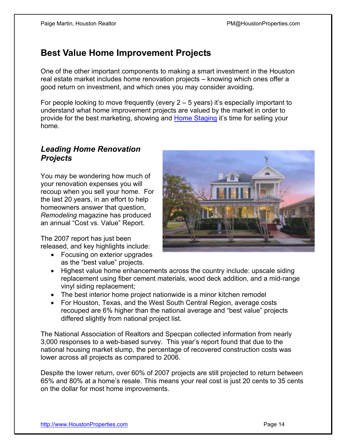## **Best Value Home Improvement Projects**

One of the other important components to making a smart investment in the Houston real estate market includes home renovation projects – knowing which ones offer a good return on investment, and which ones you may consider avoiding.

For people looking to move frequently (every  $2 - 5$  years) it's especially important to understand what home improvement projects are valued by the market in order to provide for the best marketing, showing and [Home Staging](http://houstonproperties.com/staging.html) it's time for selling your home.

#### *Leading Home Renovation Projects*

You may be wondering how much of your renovation expenses you will recoup when you sell your home. For the last 20 years, in an effort to help homeowners answer that question, *Remodeling* magazine has produced an annual "Cost vs. Value" Report.

The 2007 report has just been released, and key highlights include:

- Focusing on exterior upgrades as the "best value" projects.
- Highest value home enhancements across the country include: upscale siding replacement using fiber cement materials, wood deck addition, and a mid-range vinyl siding replacement;
- The best interior home project nationwide is a minor kitchen remodel
- For Houston, Texas, and the West South Central Region, average costs recouped are 6% higher than the national average and "best value" projects differed slightly from national project list.

The National Association of Realtors and Specpan collected information from nearly 3,000 responses to a web-based survey. This year's report found that due to the national housing market slump, the percentage of recovered construction costs was lower across all projects as compared to 2006.

Despite the lower return, over 60% of 2007 projects are still projected to return between 65% and 80% at a home's resale. This means your real cost is just 20 cents to 35 cents on the dollar for most home improvements.

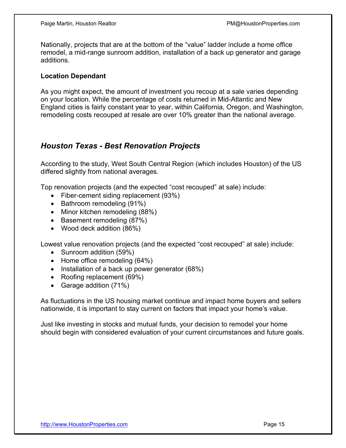Nationally, projects that are at the bottom of the "value" ladder include a home office remodel, a mid-range sunroom addition, installation of a back up generator and garage additions.

#### **Location Dependant**

As you might expect, the amount of investment you recoup at a sale varies depending on your location. While the percentage of costs returned in Mid-Atlantic and New England cities is fairly constant year to year, within California, Oregon, and Washington, remodeling costs recouped at resale are over 10% greater than the national average.

#### *Houston Texas - Best Renovation Projects*

According to the study, West South Central Region (which includes Houston) of the US differed slightly from national averages.

Top renovation projects (and the expected "cost recouped" at sale) include:

- Fiber-cement siding replacement (93%)
- Bathroom remodeling (91%)
- Minor kitchen remodeling (88%)
- Basement remodeling (87%)
- Wood deck addition (86%)

Lowest value renovation projects (and the expected "cost recouped" at sale) include:

- Sunroom addition (59%)
- Home office remodeling (64%)
- Installation of a back up power generator (68%)
- Roofing replacement (69%)
- Garage addition (71%)

As fluctuations in the US housing market continue and impact home buyers and sellers nationwide, it is important to stay current on factors that impact your home's value.

Just like investing in stocks and mutual funds, your decision to remodel your home should begin with considered evaluation of your current circumstances and future goals.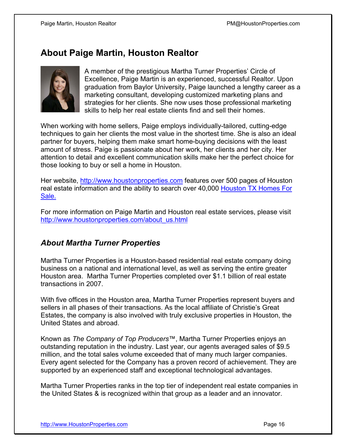## **About Paige Martin, Houston Realtor**



A member of the prestigious Martha Turner Properties' Circle of Excellence, Paige Martin is an experienced, successful Realtor. Upon graduation from Baylor University, Paige launched a lengthy career as a marketing consultant, developing customized marketing plans and strategies for her clients. She now uses those professional marketing skills to help her real estate clients find and sell their homes.

When working with home sellers, Paige employs individually-tailored, cutting-edge techniques to gain her clients the most value in the shortest time. She is also an ideal partner for buyers, helping them make smart home-buying decisions with the least amount of stress. Paige is passionate about her work, her clients and her city. Her attention to detail and excellent communication skills make her the perfect choice for those looking to buy or sell a home in Houston.

Her website,<http://www.houstonproperties.com> features over 500 pages of Houston real estate information and the ability to search over 40,000 [Houston TX Homes For](http://houstonproperties.com/property_search.html)  Sale.

For more information on Paige Martin and Houston real estate services, please visit [http://www.houstonproperties.com/about\\_us.html](http://www.houstonproperties.com/about_us.html)

#### *About Martha Turner Properties*

Martha Turner Properties is a Houston-based residential real estate company doing business on a national and international level, as well as serving the entire greater Houston area. Martha Turner Properties completed over \$1.1 billion of real estate transactions in 2007.

With five offices in the Houston area, Martha Turner Properties represent buyers and sellers in all phases of their transactions. As the local affiliate of Christie's Great Estates, the company is also involved with truly exclusive properties in Houston, the United States and abroad.

Known as *The Company of Top Producers*™, Martha Turner Properties enjoys an outstanding reputation in the industry. Last year, our agents averaged sales of \$9.5 million, and the total sales volume exceeded that of many much larger companies. Every agent selected for the Company has a proven record of achievement. They are supported by an experienced staff and exceptional technological advantages.

Martha Turner Properties ranks in the top tier of independent real estate companies in the United States & is recognized within that group as a leader and an innovator.